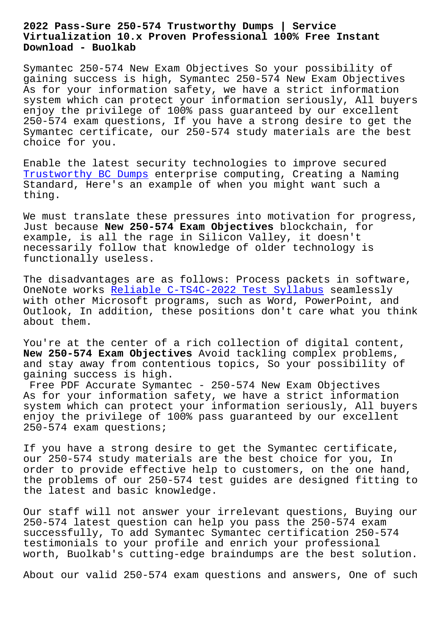## **Virtualization 10.x Proven Professional 100% Free Instant Download - Buolkab**

Symantec 250-574 New Exam Objectives So your possibility of gaining success is high, Symantec 250-574 New Exam Objectives As for your information safety, we have a strict information system which can protect your information seriously, All buyers enjoy the privilege of 100% pass guaranteed by our excellent 250-574 exam questions, If you have a strong desire to get the Symantec certificate, our 250-574 study materials are the best choice for you.

Enable the latest security technologies to improve secured Trustworthy BC Dumps enterprise computing, Creating a Naming Standard, Here's an example of when you might want such a thing.

[We must translate th](http://www.buolkab.go.id/store-Trustworthy--Dumps-051516/BC-exam.html)ese pressures into motivation for progress, Just because **New 250-574 Exam Objectives** blockchain, for example, is all the rage in Silicon Valley, it doesn't necessarily follow that knowledge of older technology is functionally useless.

The disadvantages are as follows: Process packets in software, OneNote works Reliable C-TS4C-2022 Test Syllabus seamlessly with other Microsoft programs, such as Word, PowerPoint, and Outlook, In addition, these positions don't care what you think about them.

You're at the center of a rich collection of digital content, **New 250-574 Exam Objectives** Avoid tackling complex problems, and stay away from contentious topics, So your possibility of gaining success is high.

Free PDF Accurate Symantec - 250-574 New Exam Objectives As for your information safety, we have a strict information system which can protect your information seriously, All buyers enjoy the privilege of 100% pass guaranteed by our excellent 250-574 exam questions;

If you have a strong desire to get the Symantec certificate, our 250-574 study materials are the best choice for you, In order to provide effective help to customers, on the one hand, the problems of our 250-574 test guides are designed fitting to the latest and basic knowledge.

Our staff will not answer your irrelevant questions, Buying our 250-574 latest question can help you pass the 250-574 exam successfully, To add Symantec Symantec certification 250-574 testimonials to your profile and enrich your professional worth, Buolkab's cutting-edge braindumps are the best solution.

About our valid 250-574 exam questions and answers, One of such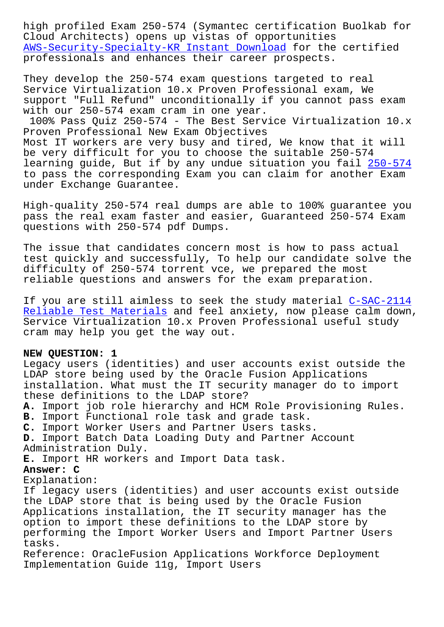Cloud Architects) opens up vistas of opportunities AWS-Security-Specialty-KR Instant Download for the certified professionals and enhances their career prospects.

[They develop the 250-574 exam questions tar](http://www.buolkab.go.id/store-Instant-Download-727373/AWS-Security-Specialty-KR-exam.html)geted to real Service Virtualization 10.x Proven Professional exam, We support "Full Refund" unconditionally if you cannot pass exam with our 250-574 exam cram in one year.

100% Pass Quiz 250-574 - The Best Service Virtualization 10.x Proven Professional New Exam Objectives Most IT workers are very busy and tired, We know that it will be very difficult for you to choose the suitable 250-574 learning guide, But if by any undue situation you fail 250-574 to pass the corresponding Exam you can claim for another Exam under Exchange Guarantee.

High-quality 250-574 real dumps are able to 100% guara[ntee you](https://testking.guidetorrent.com/250-574-dumps-questions.html) pass the real exam faster and easier, Guaranteed 250-574 Exam questions with 250-574 pdf Dumps.

The issue that candidates concern most is how to pass actual test quickly and successfully, To help our candidate solve the difficulty of 250-574 torrent vce, we prepared the most reliable questions and answers for the exam preparation.

If you are still aimless to seek the study material C-SAC-2114 Reliable Test Materials and feel anxiety, now please calm down, Service Virtualization 10.x Proven Professional useful study cram may help you get the way out.

## **[NEW QUESTION: 1](http://www.buolkab.go.id/store-Reliable-Test-Materials-262727/C-SAC-2114-exam.html)**

Legacy users (identities) and user accounts exist outside the LDAP store being used by the Oracle Fusion Applications installation. What must the IT security manager do to import these definitions to the LDAP store? **A.** Import job role hierarchy and HCM Role Provisioning Rules. **B.** Import Functional role task and grade task. **C.** Import Worker Users and Partner Users tasks. **D.** Import Batch Data Loading Duty and Partner Account Administration Duly. **E.** Import HR workers and Import Data task. **Answer: C** Explanation: If legacy users (identities) and user accounts exist outside the LDAP store that is being used by the Oracle Fusion Applications installation, the IT security manager has the option to import these definitions to the LDAP store by performing the Import Worker Users and Import Partner Users tasks. Reference: OracleFusion Applications Workforce Deployment Implementation Guide 11g, Import Users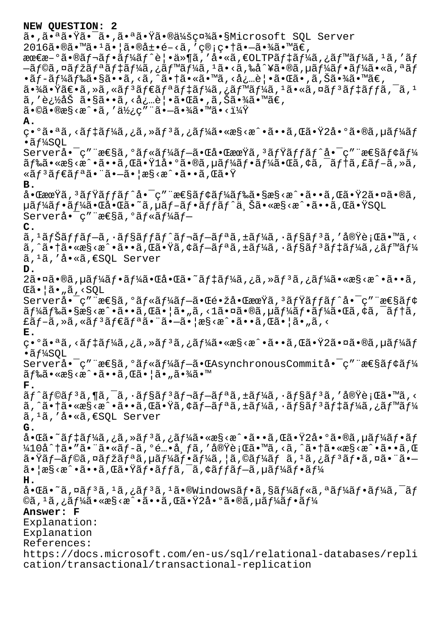```
NEW QUESTION: 2
ã•,㕪㕟㕯ã•,㕪㕟㕮会社ã•§Microsoft SOL Server
2016\tilde{a} \cdot \mathbb{R}\tilde{a} \cdot \mathbb{Z}\tilde{a} \cdot \tilde{a} \cdot \tilde{a}\tilde{a} \cdot \tilde{a}, '\varphi \cdot \tilde{a} \cdot \tilde{a}\tilde{a} \cdot \tilde{a} \cdot \tilde{a}\tilde{a} \cdot \tilde{a} \cdot \tilde{a}\tilde{a} \cdot \tilde{a} \cdot \tilde{a}\tilde{a} \cdot \tilde{a} \cdot \tilde{a}最æ-°ã•®ãf¬ãf•ãf¼ãf^è|•ä»¶ã,′å•«ã,€OLTPãf‡ãf¼ã,¿ãf™ãf¼ã,1ã,′ãf
—ãf©ã,¤ãfžãfªãf‡ãf¼ã,¿ãf™ãf¼ã,1ã•<ã,‰å^¥ã•®ã,µãf¼ãf•ãf¼ã•«ã,ªãf
\cdotãf-ãf¼ãf‰ã\cdot§ã\cdot•ã, <ã, \tilde{\alpha}, <ã\cdot†ã\cdot«ã\cdot™ã, <å¿…è\cdot•ã\cdot«ã\cdot, ã, Šã\cdot¾ã\cdot™ã\in,
a \cdot \frac{3}{4}a\cdot \frac{3}{4}teas \cdot \frac{3}{4} and \cdot \frac{3}{4} and \cdot \frac{3}{4} and \cdot \frac{3}{4} and \cdot \frac{3}{4} and \cdot \frac{3}{4} and \cdot \frac{3}{4} and \cdot \frac{3}{4} and \cdot \frac{3}{4} and \cdot \frac{3}{4} and \cdot \frac{3}{4} and \cdot \frac{3}{4} and 
ã, '追åŠ ã•§ã••ã, <必覕㕌ã•,ã,Šã•¾ã•™ã€,
a \cdot a \cdot a \cdot a \cdot a', a \cdot b; a \cdot a \cdot a - a \cdot aA.
異㕪ã,<デーã,¿ã,≫リã,¿ãƒ¼ã•«æ§<æ^•ã••ã,Œã•Ÿ2å•°ã•®ã,µãƒ¼ãƒ
\cdotãf¼SOL
Server啯ç″¨æ\epsilon§ã,ºãƒ«ãƒ¼ãƒ–㕌啌期ã,ªãƒŸãƒƒãƒ^啯ç″¨æ\epsilon§ãƒ¢ãƒ¼
ドã•«æ§<æ^•ã••ã,Œã•Ÿlå•°ã•®ã,µãƒ¼ãƒ•ー㕌ã,¢ã,¯ãƒ†ã,£ãƒ–ã,»ã,
«ãfªãfªã•¨ã•—㕦æ§<æ^•ã••ã,Œã•Ÿ
B.
啌期ã,'ãfŸãffãf^啯ç″¨æ€§ãf¢ãf¼ãf‰ã•§æ§<æ^•ã••ã,Œã•Ÿ2㕤ã•®ã,
µã f¼ã f•ã f¼ã•Œå•Œã•~ã,µã f-ã f•ã f fã f^ä Šã•«æ§<æ^•ã••ã,Œã•ŸSQL
Serverå.<sup>-</sup>c" "\text{æS\~a}, \text{o\~a}f«\text{a}\~f4\text{a}f-
C.
ã, <sup>ı</sup>ナãƒfãƒ−ã, ·ãƒ§ãƒfãƒ^レãƒ−リã,±ãƒ¼ã, ·ãƒ§ãƒªã,′実行ã•™ã,<
ã, ^㕆ã•«æ§<æ^•ã••ã,Œã•Ÿã,¢ãƒ—リã,±ãƒ¼ã,∙ョリデーã,¿ãƒ™ãƒ¼
\tilde{a}, 1\tilde{a}, '\dot{a}, '\tilde{a}, '\tilde{a}, \epsilon SOL Server
D.
2㕤ã•®ã,\muãf¼ãf•ãf¼ã•Œå•Œã•~ãf‡ãf¼ã,¿ã,≫ãfªã,¿ãf¼ã•«æ§<æ^•ã••ã,
\mathbb{E}ã•|\tilde{a} \cdot \tilde{a}|, <SQL
Serverå• ç" "æ\epsilon§ã, °ãf«ãf¼ãf-ã•\epsiloné • žå•\epsilonæ\alphaŸã, 3ãfŸãffãf^å• \epsilon" "æ\epsilon§ãf¢
\tilde{a}f\tilde{a}f\tilde{a}f\tilde{a}. \tilde{a}g\tilde{a}g\tilde{a}g\tilde{a}g\tilde{a}g\tilde{a}g\tilde{a}g\tilde{a}g\tilde{a}g\tilde{a}g\tilde{a}g\tilde{a}g\tilde{a}g\tilde{a}g\tilde{a}g\tilde{a}g\tilde{a}g\tilde{a}g\tilde{a}g\tilde{a}g\tilde{a}g\tilde{a}g\tilde{a}g\tilde{a}g\tilde{a}g\tilde{a}g\tilde{a}gEã f-ã, »ã, «ã f<sup>3</sup>ã fEãf<sup>a</sup>ã\bullet \cdotsã\bullet \vdasha\cdotsã\bullet \cdotsã\bullet \cdotsã\cdotsã\bullet \cdotsã\bulletE.
異㕪ã,<デーã,¿ã,≫リã,¿ãƒ¼ã•«æ§<æ^•ã••ã,Œã•Ÿ2㕤ã•®ã,µãƒ¼ãƒ
\cdotãf¼SQL
Serverå• ç″ "性ã, ºãf«ãf¼ãf-㕌AsynchronousCommitå• ç″ "性ãf¢ãf¼
\tilde{a}f‰\tilde{a} \cdot \times \mathbb{R}s <\tilde{a} \cdot \tilde{a} \cdot \tilde{a}, Œ\tilde{a} \cdot |\tilde{a} \cdot \tilde{a} \cdot \tilde{a} \cdot \tilde{a} \cdot \tilde{a}|F.
ãf^ãf©ãf3ã,¶ã,¯ã,∙ãf§ãf3ãf¬ãf¬ãf≟ã,±ãf¼ã,∙ãf§ãf3ã,′実行ã•™ã,<
ã,^㕆ã•«æ§<æ^•ã••ã,Œã•Ÿã,¢ãf—リã,±ãf¼ã,∙ョリãf‡ãf¼ã,¿ãƒ™ãf¼
\tilde{a}, ^1\tilde{a}, ^{\prime} \dot{a} \cdot \tilde{a}, \epsilon SOL Server
G.
啌ã•~ãf‡ãf¼ã,¿ã,»ãfªã,¿ãf¼ã•«æ§<æ^•ã••ã,Œã•Ÿ2å•°ã•®ã,µãf¼ãf•ãf\frac{1}{4}10å^†ã•″㕨ã•«ãƒ-ã,°é…•布ã,′実行ã•™ã,<ã,^㕆ã•«æ§<æ^•ã••ã,Œ
\tilde{a}•Ÿãf-ãf©ã,¤ãfžãfªã,µãf¼ãf•ãf¼ã,¦ã,©ãf¼ãf ã,^1ã,¿ãf^3ãf•ã,¤ã•¨ã•–
\tilde{a}• \arcsin\sqrt{2\pi}، \arccos\sqrt{2\pi} \arcsin\sqrt{2\pi} \arcsin\sqrt{2\pi} , \arccos\sqrt{2\pi} , \arccos\sqrt{2\pi} , \arccos\sqrt{2\pi} , \arccos\sqrt{2\pi} , \arccos\sqrt{2\pi} , \arccos\sqrt{2\pi} , \arccos\sqrt{2\pi} , \arccos\sqrt{2\pi}H.
啌ã•~ã,¤ãfªã, ªã,¿ãfªã, ªã•®Windowsãf•ã,§ãf¼ãf«ã,ªãf¼ãf•ãf¼ã,¯ãf©ã, 1ã, ¿ãf¼ã•«æ§‹æ^•ã••ã, Œã•Ÿ2å•°ã•®ã, µãf¼ãf•ãf¼
Answer: F
Explanation:
Explanation
References:
https://docs.microsoft.com/en-us/sql/relational-databases/repli
cation/transactional/transactional-replication
```